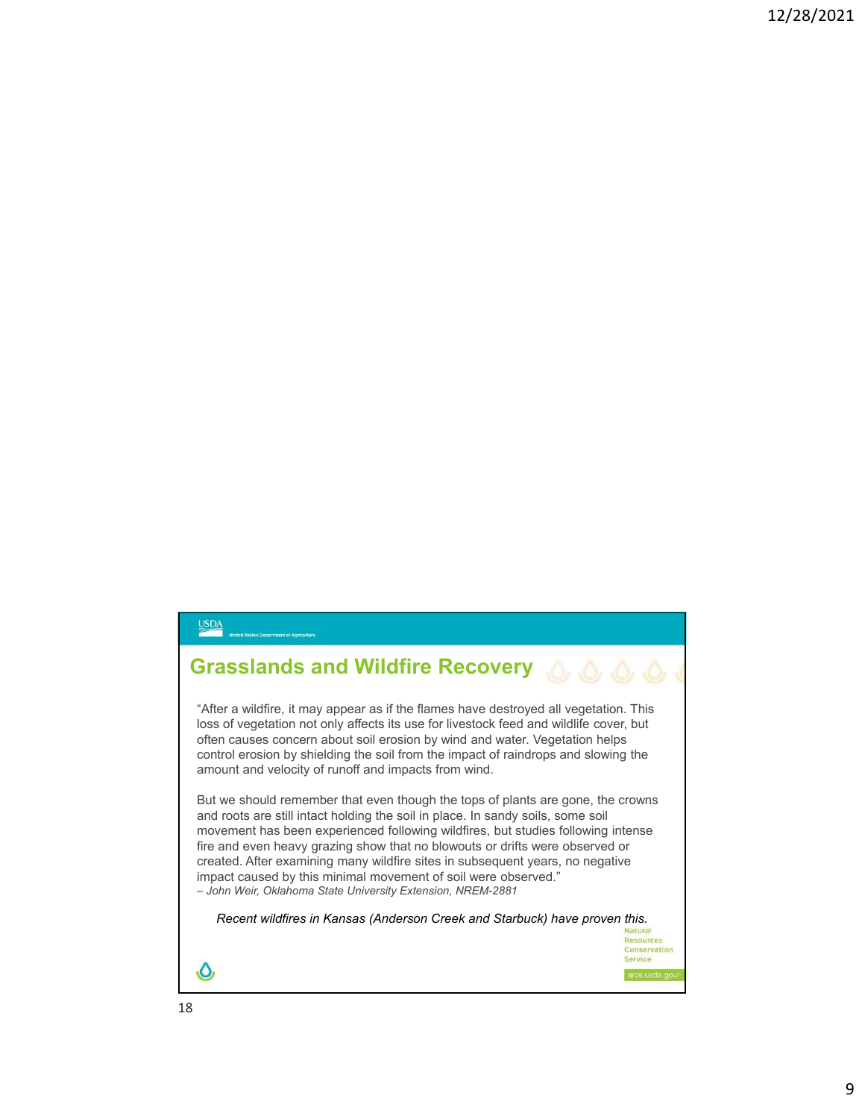## $\underline{\text{USDA}}$

## **Grasslands and Wildfire Recovery OOO**

"After a wildfire, it may appear as if the flames have destroyed all vegetation. This loss of vegetation not only affects its use for livestock feed and wildlife cover, but often causes concern about soil erosion by wind and water. Vegetation helps control erosion by shielding the soil from the impact of raindrops and slowing the amount and velocity of runoff and impacts from wind.

But we should remember that even though the tops of plants are gone, the crowns and roots are still intact holding the soil in place. In sandy soils, some soil movement has been experienced following wildfires, but studies following intense fire and even heavy grazing show that no blowouts or drifts were observed or created. After examining many wildfire sites in subsequent years, no negative impact caused by this minimal movement of soil were observed." – *John Weir, Oklahoma State University Extension, NREM-2881*

*Recent wildfires in Kansas (Anderson Creek and Starbuck) have proven this.*

 $\mathcal{O}_\ell$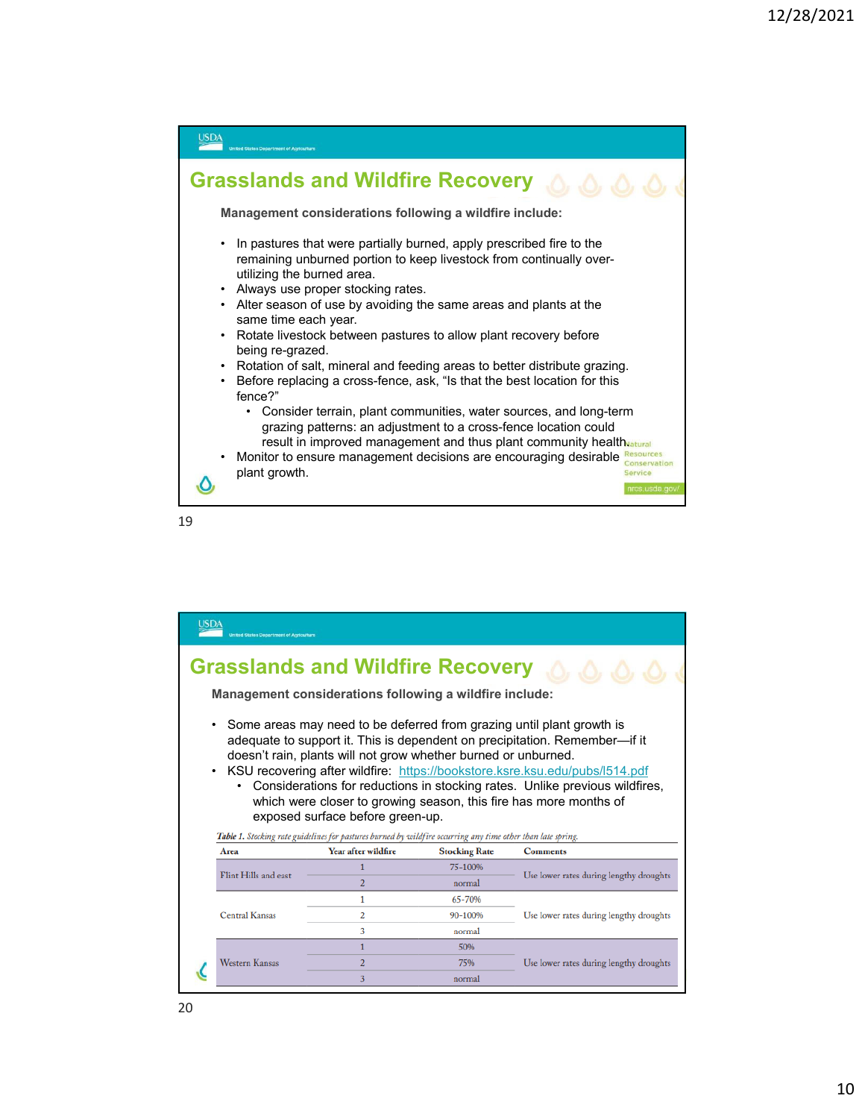

19

| <b>Grasslands and Wildfire Recovery</b><br>Management considerations following a wildfire include:                                                                                                                                                                                                                                                                                                                                                                                                        |                            |                                         |                                                                                                              |  |  |  |
|-----------------------------------------------------------------------------------------------------------------------------------------------------------------------------------------------------------------------------------------------------------------------------------------------------------------------------------------------------------------------------------------------------------------------------------------------------------------------------------------------------------|----------------------------|-----------------------------------------|--------------------------------------------------------------------------------------------------------------|--|--|--|
| Some areas may need to be deferred from grazing until plant growth is<br>adequate to support it. This is dependent on precipitation. Remember—if it<br>doesn't rain, plants will not grow whether burned or unburned.<br>KSU recovering after wildfire: https://bookstore.ksre.ksu.edu/pubs/1514.pdf<br>Considerations for reductions in stocking rates. Unlike previous wildfires,<br>$\bullet$<br>which were closer to growing season, this fire has more months of<br>exposed surface before green-up. |                            |                                         |                                                                                                              |  |  |  |
| Area                                                                                                                                                                                                                                                                                                                                                                                                                                                                                                      | <b>Year after wildfire</b> | <b>Stocking Rate</b>                    |                                                                                                              |  |  |  |
|                                                                                                                                                                                                                                                                                                                                                                                                                                                                                                           |                            |                                         | <b>Comments</b>                                                                                              |  |  |  |
|                                                                                                                                                                                                                                                                                                                                                                                                                                                                                                           |                            | 75-100%                                 |                                                                                                              |  |  |  |
| Flint Hills and east                                                                                                                                                                                                                                                                                                                                                                                                                                                                                      | $\overline{2}$             | normal                                  | Use lower rates during lengthy droughts                                                                      |  |  |  |
|                                                                                                                                                                                                                                                                                                                                                                                                                                                                                                           | 1                          | 65-70%                                  |                                                                                                              |  |  |  |
| Central Kansas                                                                                                                                                                                                                                                                                                                                                                                                                                                                                            | 2                          | 90-100%                                 | Use lower rates during lengthy droughts                                                                      |  |  |  |
|                                                                                                                                                                                                                                                                                                                                                                                                                                                                                                           | 3                          | normal                                  |                                                                                                              |  |  |  |
|                                                                                                                                                                                                                                                                                                                                                                                                                                                                                                           | $\mathbf{1}$               | 50%                                     |                                                                                                              |  |  |  |
| Western Kansas                                                                                                                                                                                                                                                                                                                                                                                                                                                                                            | $\overline{2}$             | 75%                                     | Use lower rates during lengthy droughts                                                                      |  |  |  |
|                                                                                                                                                                                                                                                                                                                                                                                                                                                                                                           |                            | Inited States Department of Agriculture | Table 1. Stocking rate guidelines for pastures burned by wildfire occurring any time other than late spring. |  |  |  |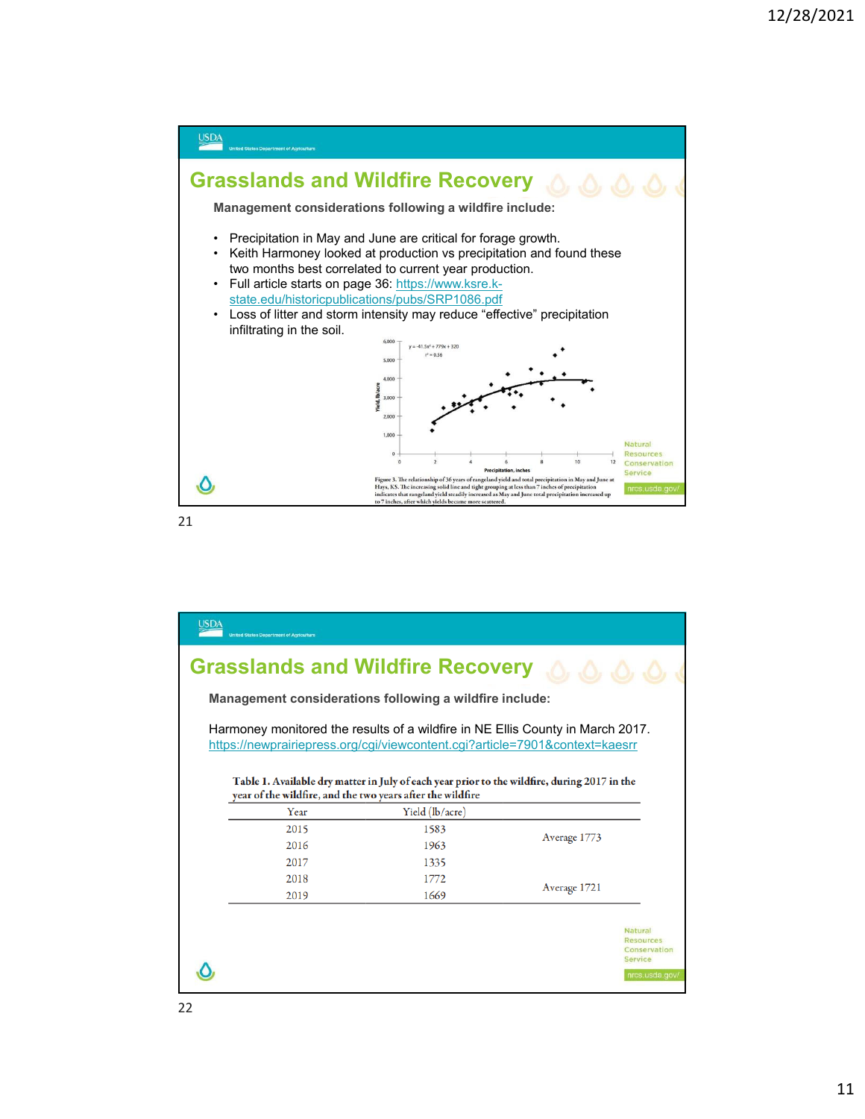

21

| <b>USDA</b>                                                                                                                                                                                                                                                                                                                 | <b>United States Department of Agriculture</b> |                 |              |                                                 |  |  |
|-----------------------------------------------------------------------------------------------------------------------------------------------------------------------------------------------------------------------------------------------------------------------------------------------------------------------------|------------------------------------------------|-----------------|--------------|-------------------------------------------------|--|--|
| <b>Grasslands and Wildfire Recovery</b>                                                                                                                                                                                                                                                                                     |                                                |                 |              |                                                 |  |  |
| Management considerations following a wildfire include:                                                                                                                                                                                                                                                                     |                                                |                 |              |                                                 |  |  |
| Harmoney monitored the results of a wildfire in NE Ellis County in March 2017.<br>https://newprairiepress.org/cgi/viewcontent.cgi?article=7901&context=kaesrr<br>Table 1. Available dry matter in July of each year prior to the wildfire, during 2017 in the<br>year of the wildfire, and the two years after the wildfire |                                                |                 |              |                                                 |  |  |
|                                                                                                                                                                                                                                                                                                                             | Year                                           | Yield (lb/acre) |              |                                                 |  |  |
|                                                                                                                                                                                                                                                                                                                             | 2015                                           | 1583            | Average 1773 |                                                 |  |  |
|                                                                                                                                                                                                                                                                                                                             | 2016                                           | 1963            |              |                                                 |  |  |
|                                                                                                                                                                                                                                                                                                                             | 2017                                           | 1335            |              |                                                 |  |  |
|                                                                                                                                                                                                                                                                                                                             | 2018                                           | 1772            | Average 1721 |                                                 |  |  |
|                                                                                                                                                                                                                                                                                                                             | 2019                                           | 1669            |              |                                                 |  |  |
|                                                                                                                                                                                                                                                                                                                             |                                                |                 |              | Natural<br>Resources<br>Conservation<br>Service |  |  |
|                                                                                                                                                                                                                                                                                                                             |                                                |                 |              | nrcs.usda.gov.                                  |  |  |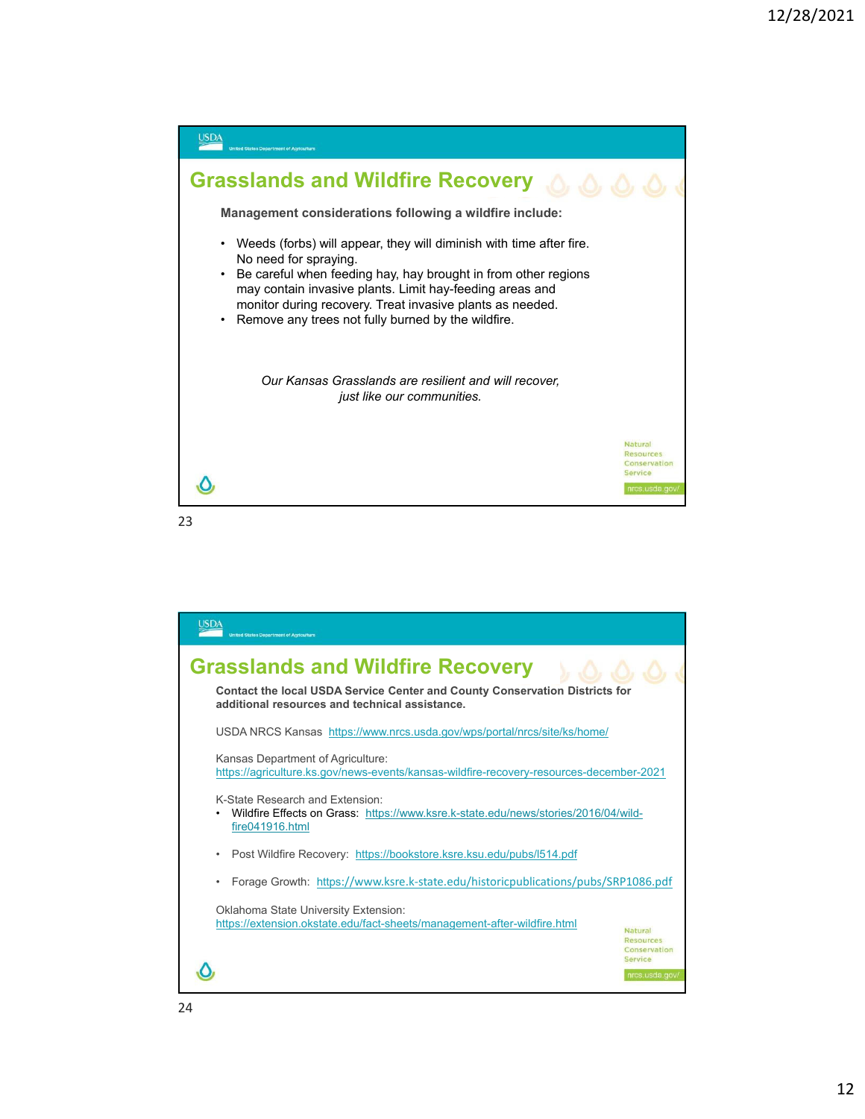